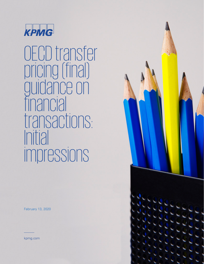

OECD transfer pricing (final) guidance on financial transactions: Initial impressions

February 13, 2020



kpmg.com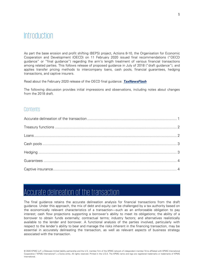## Introduction

As part the base erosion and profit shifting (BEPS) project, Actions 8-10, the Organisation for Economic Cooperation and Development (OECD) on 11 February 2020 issued final recommendations ("OECD guidance" or "final guidance") regarding the arm's length treatment of various financial transactions among related parties. This follows release of proposed guidance in July of 2018 ("draft guidance"), and applies transfer pricing methods to intercompany loans, cash pools, financial guarantees, hedging transactions, and captive insurers.

Read about the February 2020 release of the OECD final guidance: **[TaxNewsFlash](https://tax.kpmg.us/content/tax/en/index/taxnewsflash/taxnewsflash-transfer-pricing/tnf-oecd-transfer-pricing-guidance-financial-transactions.html)**

The following discussion provides initial impressions and observations, including notes about changes from the 2018 draft.

### Contents

## <span id="page-1-0"></span>Accurate delineation of the transaction

The final guidance retains the accurate delineation analysis for financial transactions from the draft guidance. Under this approach, the mix of debt and equity can be challenged by a tax authority based on the economically relevant characteristics of a transaction—such as an enforceable obligation to pay interest; cash flow projections supporting a borrower's ability to meet its obligations; the ability of a borrower to obtain funds externally; contractual terms; industry factors; and alternatives realistically available to the lender and borrower. A functional analysis of the parties involved, particularly with respect to the lender's ability to bear and manage the risks inherent in the financing transaction, may be essential in accurately delineating the transaction, as well as relevant aspects of business strategy associated with the transaction.

<sup>© 2020</sup> KPMG LLP, a Delaware limited liability partnership and the U.S. member firm of the KPMG network of independent member firms affiliated with KPMG International Cooperative ("KPMG International"), a Swiss entity. All rights reserved. Printed in the U.S.A. The KPMG name and logo are registered trademarks or trademarks of KPMG International.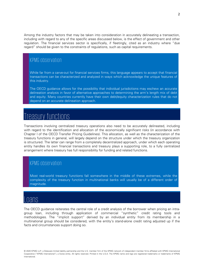Among the industry factors that may be taken into consideration in accurately delineating a transaction, including with regard to any of the specific areas discussed below, is the effect of government and other regulation. The financial services sector is specifically, if fleetingly, cited as an industry where "due regard" should be given to the constraints of regulations, such as capital requirements.

### KPMG observation

While far from a carve-out for financial services firms, this language appears to accept that financial transactions can be characterized and analyzed in ways which acknowledge the unique features of this industry.

The OECD guidance allows for the possibility that individual jurisdictions may eschew an accurate delineation analysis in favor of alternative approaches to determining the arm's length mix of debt and equity. Many countries currently have their own debt/equity characterization rules that do not depend on an accurate delineation approach.

# <span id="page-2-0"></span>Treasury functions

Transactions involving centralized treasury operations also need to be accurately delineated, including with regard to the identification and allocation of the economically significant risks (in accordance with Chapter I of the OECD Transfer Pricing Guidelines). This allocation, as well as the characterization of the treasury functions in general, will largely depend on the structure under which the treasury organization is structured. The latter can range from a completely decentralized approach, under which each operating entity handles its own financial transactions and treasury plays a supporting role, to a fully centralized arrangement where treasury has full responsibility for funding and related functions.

### KPMG observation

Most real-world treasury functions fall somewhere in the middle of these extremes, while the complexity of the treasury function in multinational banks will usually be of a different order of magnitude.

### <span id="page-2-1"></span>Loans

The OECD guidance reiterates the central role of a credit analysis of the borrower when pricing an intragroup loan, including through application of commercial "synthetic" credit rating tools and methodologies. The "implicit support" derived by an individual entity from its membership in a multinational group should be considered, with the entity's stand-alone credit rating adjusted up if the facts and circumstances support doing so.

<sup>© 2020</sup> KPMG LLP, a Delaware limited liability partnership and the U.S. member firm of the KPMG network of independent member firms affiliated with KPMG International Cooperative ("KPMG International"), a Swiss entity. All rights reserved. Printed in the U.S.A. The KPMG name and logo are registered trademarks or trademarks of KPMG International.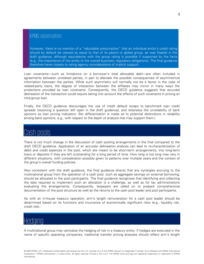### KPMG observation

However, there is no mention of a "rebuttable presumption" that an individual entity's credit rating should by default be viewed as equal to that of its parent or global group, as was floated in the draft guidance, although equivalence with the group rating is possible if supported by the facts (e.g., the importance of the entity to the overall business, regulatory obligations). The final guidance therefore hews closely to rating agency considerations of implicit support.

Loan covenants—such as limitations on a borrower's total allowable debt—are often included in agreements between unrelated parties, in part to alleviate the possible consequences of asymmetrical information between the parties. While such asymmetry will normally not be a factor in the case of related-party loans, the degree of interaction between the affiliates may mirror in many ways the protections provided by loan covenants. Consequently, the OECD guidance suggests that accurate delineation of the transaction could require taking into account the effects of such covenants in pricing an intra-group loan.

Finally, the OECD guidance discourages the use of credit default swaps to benchmark loan credit spreads (resolving a question left open in the draft guidance), and reiterates the unreliability of bank opinions as loan pricing indicators. (No differentiation is made as to potential distinctions in reliability among bank opinions, e.g., with respect to the depth of analysis that may support them.)

## <span id="page-3-0"></span>Cash pools

There is not much change in the discussion of cash pooling arrangements in the final compared to the draft OECD guidance. Application of an accurate delineation analysis can lead to re-characterization of debit and credit balances in the pool, which are meant to be short-term arrangements, into long-term loans or deposits if they are left outstanding for a long period of time. How long is too long may vary in different situations, with consideration possibly given to patterns over multiple years and the context of the group's overall funding policies.

Also consistent with the draft guidance, the final guidance directs that any synergies accruing to the multinational group from the operation of a cash pool, such as aggregate savings on external borrowing, should be allocated to the pool participants. The final guidance recognizes that identifying and collecting the data required to implement such an allocation is a challenge, as well as for tax administrations evaluating the arrangements. Consequently, taxpayers are called on to prepare comprehensive documentation of the pool structure as well as the returns to the cash pool leader and pool participants.

As with an in-house treasury operation, arm's length remuneration for a cash pool leader should be determined based on its functions and incurrence of economically significant risks (e.g., liquidity risk, credit risk).

# <span id="page-3-1"></span>Hedging

A multinational group may centralize the hedging of risk in a treasury entity. If hedges are executed in the name of specific operating companies, traditional transfer pricing analyses should reflect arm's length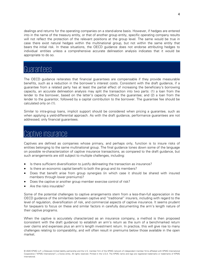dealings and returns for the operating companies on a stand-alone basis. However, if hedges are entered into in the name of the treasury entity, or that of another group entity, specific operating company results will not reflect the protection of the relevant positions at the group level. The same would be true in case there exist natural hedges within the multinational group, but not within the same entity that bears the initial risk. In these situations, the OECD guidance does not endorse attributing hedges to individual entities unless a comprehensive accurate delineation analysis indicates that it would be appropriate to do so.

## <span id="page-4-0"></span>Guarantees

The OECD guidance reiterates that financial guarantees are compensable if they provide measurable benefits, such as a reduction in the borrower's interest costs. Consistent with the draft guidance, if a guarantee from a related party has at least the partial effect of increasing the beneficiary's borrowing capacity, an accurate delineation analysis may split the transaction into two parts: (1) a loan from the lender to the borrower, based on the latter's capacity without the guarantee; and (2) a loan from the lender to the guarantor, followed by a capital contribution to the borrower. The guarantee fee should be calculated only on (1).

Similar to intra-group loans, implicit support should be considered when pricing a guarantee, such as when applying a yield-differential approach. As with the draft guidance, performance guarantees are not addressed; only financial guarantees.

## <span id="page-4-1"></span>Captive insurance

Captives are defined as companies whose primary, and perhaps only, function is to insure risks of entities belonging to the same multinational group. The final guidance tones down some of the language on possible re-characterization of captive insurance transactions, as compared to the draft guidance, but such arrangements are still subject to multiple challenges, including:

- Is there sufficient diversification to justify delineating the transaction as insurance?
- Is there an economic capital benefit to both the group and its members?
- Does that benefit arise from group synergies (in which case it should be shared with insured members through lower premiums)?
- Does the captive or another group member exercise control of risk?
- Are the risks insurable?

Some of the potential challenges to captive arrangements stem from a less-than-full appreciation in the OECD guidance of the similarities between captive and "traditional" insurers, including with regard to the level of regulation, diversification of risk, and commercial aspects of captive insurance. It seems prudent for taxpayers to focus on these and similar factors in carefully documenting the arm's length nature of their captive programs.

When the captive is accurately characterized as an insurance company, a method is then proposed (consistent with the draft guidance) to establish an arm's return as the sum of a benchmarked return over claims and expenses plus an arm's length investment return. In practice, this will give rise to many challenges relating to comparability, and will often result in premiums below those available in the open market.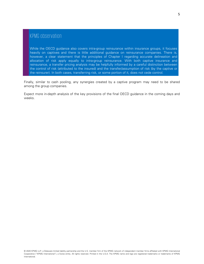## KPMG observation

While the OECD guidance also covers intra-group reinsurance within insurance groups, it focuses heavily on captives and there is little additional guidance on reinsurance companies. There is, however, a clear statement that the principles of Chapter I regarding accurate delineation and allocation of risk apply equally to intra-group reinsurance. With both captive insurance and reinsurance, a transfer pricing analysis may be helpfully informed by a careful distinction between the control of risk (attributed to the insured) and the transfer/assumption of risk (by the captive or the reinsurer). In both cases, transferring risk, or some portion of it, does not cede control.

Finally, similar to cash pooling, any synergies created by a captive program may need to be shared among the group companies.

Expect more in-depth analysis of the key provisions of the final OECD guidance in the coming days and weeks.